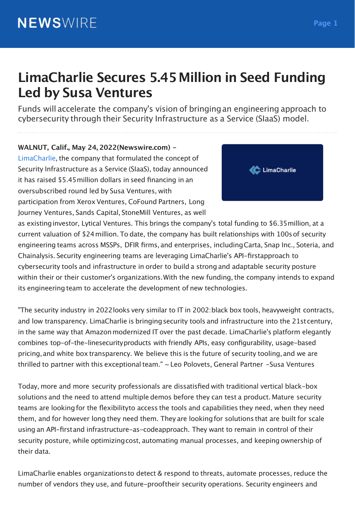# **LimaCharlie Secures 5.45Million in Seed Funding Led by Susa Ventures**

Funds will accelerate the company's vision of bringingan engineering approach to cybersecurity through their Security Infrastructure as a Service (SIaaS) model.

**WALNUT, Calif., May 24, 2022(Newswire.com) -** LimaCharlie, the company that formulated the concept of Security Infrastructure as a Service (SIaaS), today announced it has raised \$5.45million dollars in seed financing in an oversubscribed round led by Susa Ventures, with participation from Xerox Ventures, CoFound Partners, Long Journey Ventures, Sands Capital, StoneMill Ventures, as well



as existinginvestor, Lytical Ventures. This brings the company's total funding to \$6.35million, at a current valuation of \$24million. To date, the company has built relationships with 100sof security engineering teams across MSSPs, DFIR firms, and enterprises, includingCarta, Snap Inc., Soteria, and Chainalysis. Security engineering teams are leveraging LimaCharlie's API-firstapproach to cybersecurity tools and infrastructure in order to build a strong and adaptable security posture within their or their customer's organizations. With the new funding, the company intends to expand its engineering team to accelerate the development of new technologies.

"The security industry in 2022looks very similar to IT in 2002:black box tools, heavyweight contracts, and low transparency. LimaCharlie is bringing security tools and infrastructure into the 21st century, in the same way that Amazon modernized IT over the past decade. LimaCharlie's platform elegantly combines top-of-the-linesecurityproducts with friendly APIs, easy configurability, usage-based pricing,and white box transparency. We believe this is the future of security tooling,and we are thrilled to partner with this exceptional team."  $\sim$  Leo Polovets, General Partner -Susa Ventures

Today, more and more security professionals are dissatisfied with traditional vertical black-box solutions and the need to attend multiple demos before they can test a product. Mature security teams are lookingfor the flexibilityto access the tools and capabilities they need, when they need them, and for however long they need them. They are lookingfor solutions that are built for scale using an API-firstand infrastructure-as-codeapproach. They want to remain in control of their security posture, while optimizing cost, automating manual processes, and keeping ownership of their data.

LimaCharlie enables organizationsto detect & respond to threats, automate processes, reduce the number of vendors they use, and future-prooftheir security operations. Security engineers and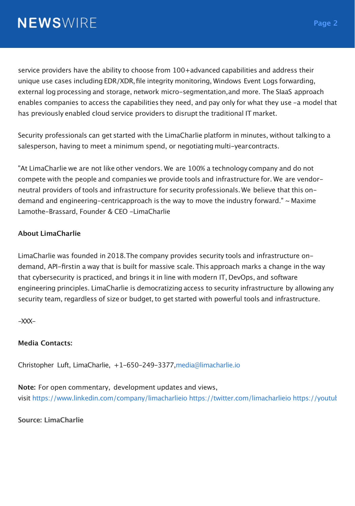service providers have the ability to choose from 100+advanced capabilities and address their unique use cases including EDR/XDR,file integrity monitoring, Windows Event Logs forwarding, external log processing and storage, network micro-segmentation,and more. The SIaaS approach enables companies to access the capabilities they need, and pay only for what they use -a model that has previously enabled cloud service providers to disrupt the traditional IT market.

Security professionals can get started with the LimaCharlie platform in minutes, without talkingto a salesperson, having to meet a minimum spend, or negotiatingmulti-yearcontracts.

"At LimaCharlie we are not like other vendors. We are 100% a technology company and do not compete with the people and companies we provide tools and infrastructure for. We are vendorneutral providers oftools and infrastructure for security professionals. We believe that this ondemand and engineering-centricapproach is the way to move the industry forward."  $\sim$  Maxime Lamothe-Brassard, Founder & CEO -LimaCharlie

#### **About LimaCharlie**

LimaCharlie was founded in 2018.The company provides security tools and infrastructure ondemand, API-firstin a way that is built for massive scale. This approach marks a change in the way that cybersecurity is practiced, and brings it in line with modern IT, DevOps, and software engineering principles. LimaCharlie is democratizing access to security infrastructure by allowing any security team, regardless of size or budget, to get started with powerful tools and infrastructure.

 $-XXX -$ 

#### **Media Contacts:**

Christopher Luft, LimaCharlie, +1-650-249-3377,media@limacharlie.io

**Note:** For open commentary, development updates and views, visit https://www.linkedin.com/company/limacharlieio https://twitter.com/limacharlieio https://youtub

**Source: LimaCharlie**